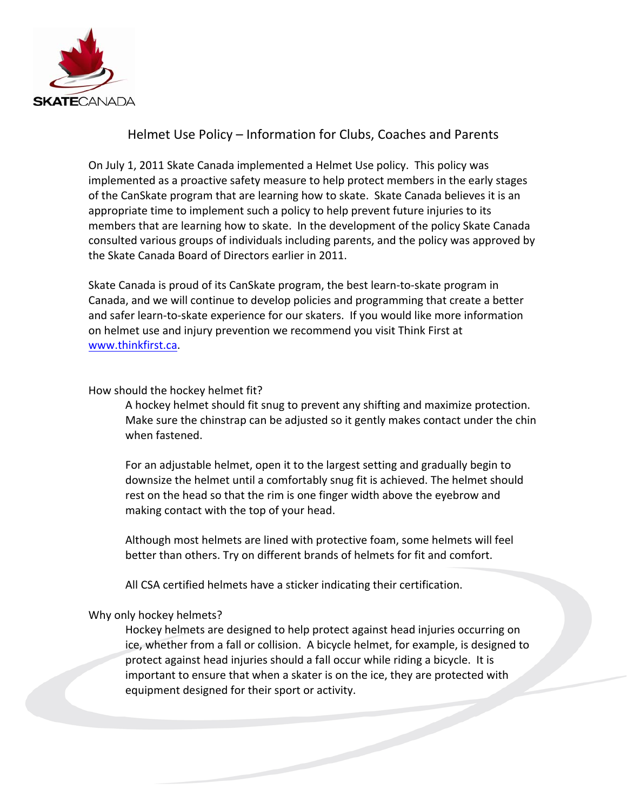

## Helmet Use Policy – Information for Clubs, Coaches and Parents

On July 1, 2011 Skate Canada implemented a Helmet Use policy. This policy was implemented as a proactive safety measure to help protect members in the early stages of the CanSkate program that are learning how to skate. Skate Canada believes it is an appropriate time to implement such a policy to help prevent future injuries to its members that are learning how to skate. In the development of the policy Skate Canada consulted various groups of individuals including parents, and the policy was approved by the Skate Canada Board of Directors earlier in 2011.

Skate Canada is proud of its CanSkate program, the best learn-to-skate program in Canada, and we will continue to develop policies and programming that create a better and safer learn-to-skate experience for our skaters. If you would like more information on helmet use and injury prevention we recommend you visit Think First at www.thinkfirst.ca.

## How should the hockey helmet fit?

A hockey helmet should fit snug to prevent any shifting and maximize protection. Make sure the chinstrap can be adjusted so it gently makes contact under the chin when fastened.

For an adjustable helmet, open it to the largest setting and gradually begin to downsize the helmet until a comfortably snug fit is achieved. The helmet should rest on the head so that the rim is one finger width above the eyebrow and making contact with the top of your head.

Although most helmets are lined with protective foam, some helmets will feel better than others. Try on different brands of helmets for fit and comfort.

All CSA certified helmets have a sticker indicating their certification.

## Why only hockey helmets?

Hockey helmets are designed to help protect against head injuries occurring on ice, whether from a fall or collision. A bicycle helmet, for example, is designed to protect against head injuries should a fall occur while riding a bicycle. It is important to ensure that when a skater is on the ice, they are protected with equipment designed for their sport or activity.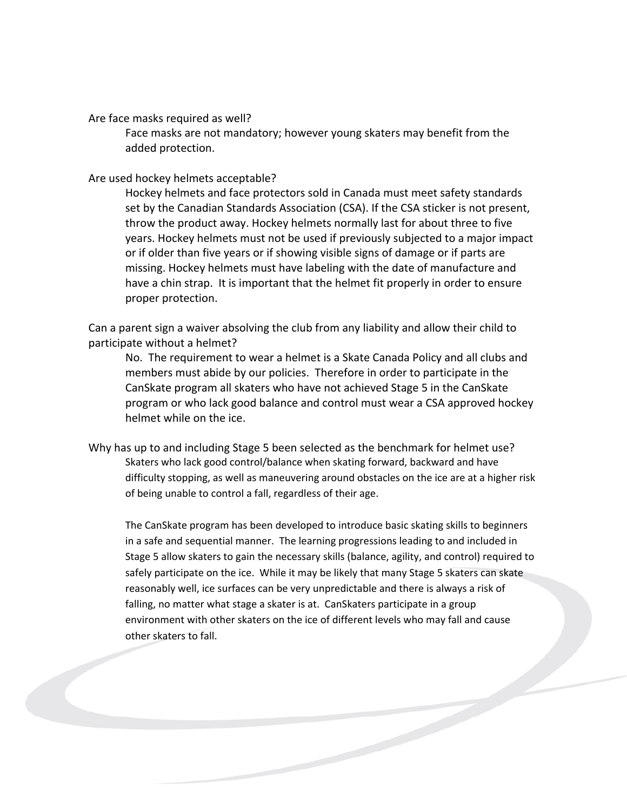Are face masks required as well?

Face masks are not mandatory; however young skaters may benefit from the added protection.

## Are used hockey helmets acceptable?

Hockey helmets and face protectors sold in Canada must meet safety standards set by the Canadian Standards Association (CSA). If the CSA sticker is not present, throw the product away. Hockey helmets normally last for about three to five years. Hockey helmets must not be used if previously subjected to a major impact or if older than five years or if showing visible signs of damage or if parts are missing. Hockey helmets must have labeling with the date of manufacture and have a chin strap. It is important that the helmet fit properly in order to ensure proper protection.

Can a parent sign a waiver absolving the club from any liability and allow their child to participate without a helmet?

No. The requirement to wear a helmet is a Skate Canada Policy and all clubs and members must abide by our policies. Therefore in order to participate in the CanSkate program all skaters who have not achieved Stage 5 in the CanSkate program or who lack good balance and control must wear a CSA approved hockey helmet while on the ice.

Why has up to and including Stage 5 been selected as the benchmark for helmet use? Skaters who lack good control/balance when skating forward, backward and have difficulty stopping, as well as maneuvering around obstacles on the ice are at a higher risk of being unable to control a fall, regardless of their age.

The CanSkate program has been developed to introduce basic skating skills to beginners in a safe and sequential manner. The learning progressions leading to and included in Stage 5 allow skaters to gain the necessary skills (balance, agility, and control) required to safely participate on the ice. While it may be likely that many Stage 5 skaters can skate reasonably well, ice surfaces can be very unpredictable and there is always a risk of falling, no matter what stage a skater is at. CanSkaters participate in a group environment with other skaters on the ice of different levels who may fall and cause other skaters to fall.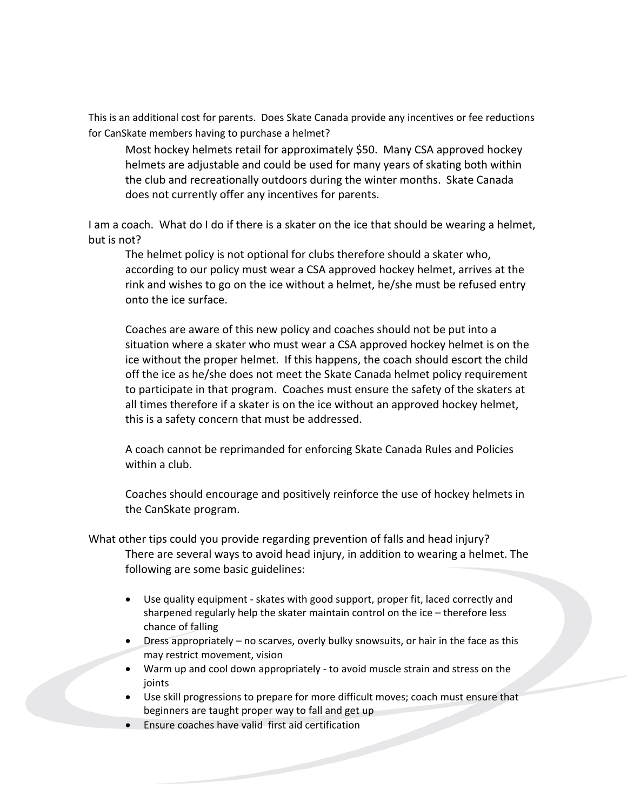This is an additional cost for parents. Does Skate Canada provide any incentives or fee reductions for CanSkate members having to purchase a helmet?

Most hockey helmets retail for approximately \$50. Many CSA approved hockey helmets are adjustable and could be used for many years of skating both within the club and recreationally outdoors during the winter months. Skate Canada does not currently offer any incentives for parents.

I am a coach. What do I do if there is a skater on the ice that should be wearing a helmet, but is not?

The helmet policy is not optional for clubs therefore should a skater who, according to our policy must wear a CSA approved hockey helmet, arrives at the rink and wishes to go on the ice without a helmet, he/she must be refused entry onto the ice surface.

Coaches are aware of this new policy and coaches should not be put into a situation where a skater who must wear a CSA approved hockey helmet is on the ice without the proper helmet. If this happens, the coach should escort the child off the ice as he/she does not meet the Skate Canada helmet policy requirement to participate in that program. Coaches must ensure the safety of the skaters at all times therefore if a skater is on the ice without an approved hockey helmet, this is a safety concern that must be addressed.

A coach cannot be reprimanded for enforcing Skate Canada Rules and Policies within a club.

Coaches should encourage and positively reinforce the use of hockey helmets in the CanSkate program.

- What other tips could you provide regarding prevention of falls and head injury? There are several ways to avoid head injury, in addition to wearing a helmet. The following are some basic guidelines:
	- Use quality equipment skates with good support, proper fit, laced correctly and sharpened regularly help the skater maintain control on the ice – therefore less chance of falling
	- Dress appropriately no scarves, overly bulky snowsuits, or hair in the face as this may restrict movement, vision
	- Warm up and cool down appropriately to avoid muscle strain and stress on the joints
	- Use skill progressions to prepare for more difficult moves; coach must ensure that beginners are taught proper way to fall and get up
	- Ensure coaches have valid first aid certification